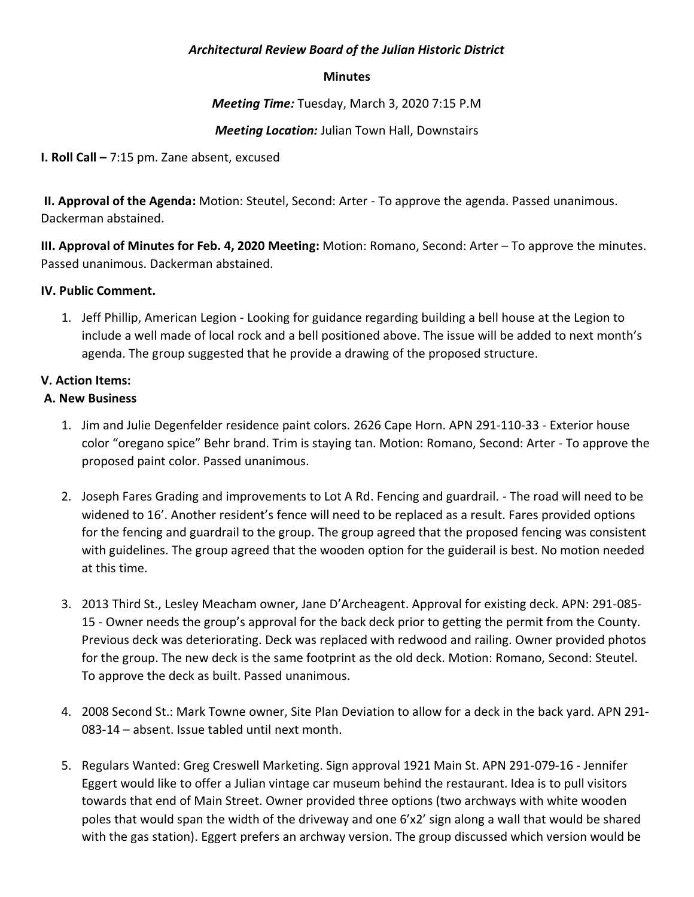## *Architectural Review Board of the Julian Historic District*

#### **Minutes**

*Meeting Time:* Tuesday, March 3, 2020 7:15 P.M

## *Meeting Location:* Julian Town Hall, Downstairs

**I. Roll Call –** 7:15 pm. Zane absent, excused

**II. Approval of the Agenda:** Motion: Steutel, Second: Arter - To approve the agenda. Passed unanimous. Dackerman abstained.

**III. Approval of Minutes for Feb. 4, 2020 Meeting:** Motion: Romano, Second: Arter – To approve the minutes. Passed unanimous. Dackerman abstained.

### **IV. Public Comment.**

1. Jeff Phillip, American Legion - Looking for guidance regarding building a bell house at the Legion to include a well made of local rock and a bell positioned above. The issue will be added to next month's agenda. The group suggested that he provide a drawing of the proposed structure.

### **V. Action Items:**

### **A. New Business**

- 1. Jim and Julie Degenfelder residence paint colors. 2626 Cape Horn. APN 291-110-33 Exterior house color "oregano spice" Behr brand. Trim is staying tan. Motion: Romano, Second: Arter - To approve the proposed paint color. Passed unanimous.
- 2. Joseph Fares Grading and improvements to Lot A Rd. Fencing and guardrail. The road will need to be widened to 16'. Another resident's fence will need to be replaced as a result. Fares provided options for the fencing and guardrail to the group. The group agreed that the proposed fencing was consistent with guidelines. The group agreed that the wooden option for the guiderail is best. No motion needed at this time.
- 3. 2013 Third St., Lesley Meacham owner, Jane D'Archeagent. Approval for existing deck. APN: 291-085- 15 - Owner needs the group's approval for the back deck prior to getting the permit from the County. Previous deck was deteriorating. Deck was replaced with redwood and railing. Owner provided photos for the group. The new deck is the same footprint as the old deck. Motion: Romano, Second: Steutel. To approve the deck as built. Passed unanimous.
- 4. 2008 Second St.: Mark Towne owner, Site Plan Deviation to allow for a deck in the back yard. APN 291- 083-14 – absent. Issue tabled until next month.
- 5. Regulars Wanted: Greg Creswell Marketing. Sign approval 1921 Main St. APN 291-079-16 Jennifer Eggert would like to offer a Julian vintage car museum behind the restaurant. Idea is to pull visitors towards that end of Main Street. Owner provided three options (two archways with white wooden poles that would span the width of the driveway and one 6'x2' sign along a wall that would be shared with the gas station). Eggert prefers an archway version. The group discussed which version would be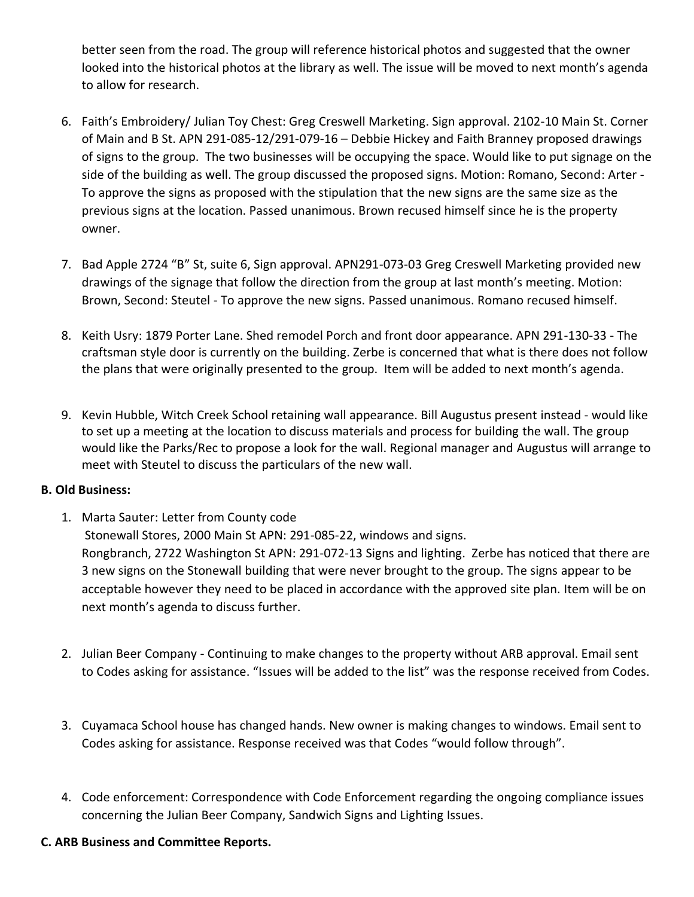better seen from the road. The group will reference historical photos and suggested that the owner looked into the historical photos at the library as well. The issue will be moved to next month's agenda to allow for research.

- 6. Faith's Embroidery/ Julian Toy Chest: Greg Creswell Marketing. Sign approval. 2102-10 Main St. Corner of Main and B St. APN 291-085-12/291-079-16 – Debbie Hickey and Faith Branney proposed drawings of signs to the group. The two businesses will be occupying the space. Would like to put signage on the side of the building as well. The group discussed the proposed signs. Motion: Romano, Second: Arter - To approve the signs as proposed with the stipulation that the new signs are the same size as the previous signs at the location. Passed unanimous. Brown recused himself since he is the property owner.
- 7. Bad Apple 2724 "B" St, suite 6, Sign approval. APN291-073-03 Greg Creswell Marketing provided new drawings of the signage that follow the direction from the group at last month's meeting. Motion: Brown, Second: Steutel - To approve the new signs. Passed unanimous. Romano recused himself.
- 8. Keith Usry: 1879 Porter Lane. Shed remodel Porch and front door appearance. APN 291-130-33 The craftsman style door is currently on the building. Zerbe is concerned that what is there does not follow the plans that were originally presented to the group. Item will be added to next month's agenda.
- 9. Kevin Hubble, Witch Creek School retaining wall appearance. Bill Augustus present instead would like to set up a meeting at the location to discuss materials and process for building the wall. The group would like the Parks/Rec to propose a look for the wall. Regional manager and Augustus will arrange to meet with Steutel to discuss the particulars of the new wall.

# **B. Old Business:**

- 1. Marta Sauter: Letter from County code Stonewall Stores, 2000 Main St APN: 291-085-22, windows and signs. Rongbranch, 2722 Washington St APN: 291-072-13 Signs and lighting. Zerbe has noticed that there are 3 new signs on the Stonewall building that were never brought to the group. The signs appear to be acceptable however they need to be placed in accordance with the approved site plan. Item will be on next month's agenda to discuss further.
- 2. Julian Beer Company Continuing to make changes to the property without ARB approval. Email sent to Codes asking for assistance. "Issues will be added to the list" was the response received from Codes.
- 3. Cuyamaca School house has changed hands. New owner is making changes to windows. Email sent to Codes asking for assistance. Response received was that Codes "would follow through".
- 4. Code enforcement: Correspondence with Code Enforcement regarding the ongoing compliance issues concerning the Julian Beer Company, Sandwich Signs and Lighting Issues.

# **C. ARB Business and Committee Reports.**